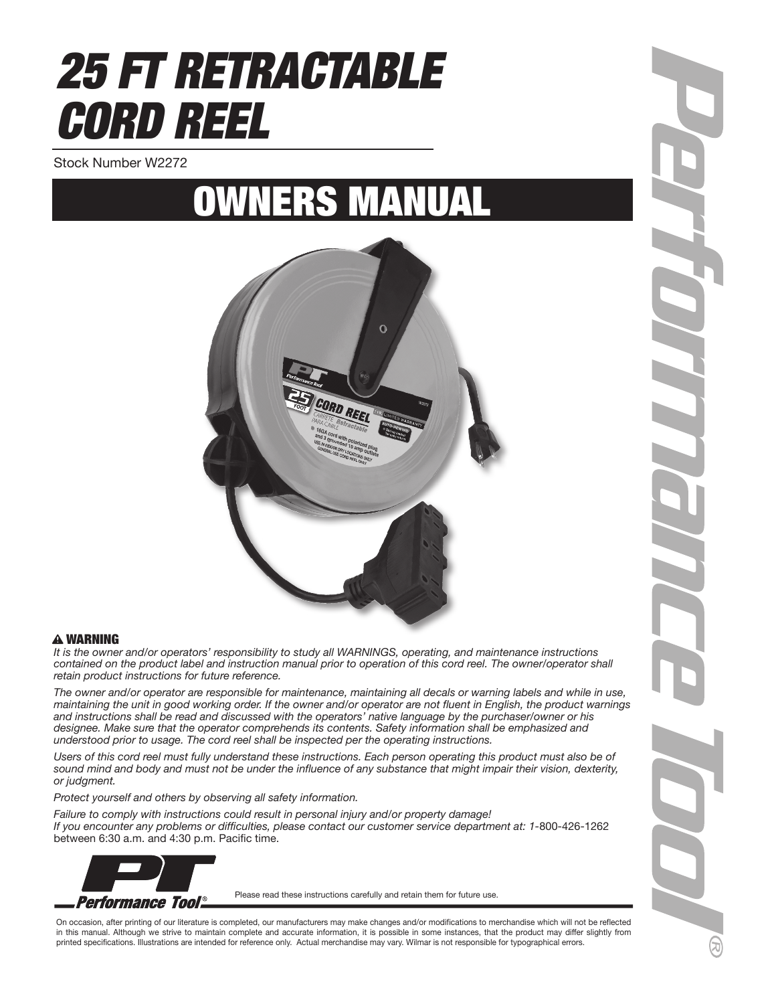# *25 FT RETRACTABLE CORD REEL*

Stock Number W2272

## OWNERS MANUAL



#### WARNING

*It is the owner and/or operators' responsibility to study all WARNINGS, operating, and maintenance instructions contained on the product label and instruction manual prior to operation of this cord reel. The owner/operator shall retain product instructions for future reference.*

The owner and/or operator are responsible for maintenance, maintaining all decals or warning labels and while in use, *maintaining the unit in good working order. If the owner and/or operator are not fluent in English, the product warnings and instructions shall be read and discussed with the operators' native language by the purchaser/owner or his designee. Make sure that the operator comprehends its contents. Safety information shall be emphasized and understood prior to usage. The cord reel shall be inspected per the operating instructions.*

Users of this cord reel must fully understand these instructions. Each person operating this product must also be of *sound mind and body and must not be under the influence of any substance that might impair their vision, dexterity, or judgment.*

*Protect yourself and others by observing all safety information.*

*Failure to comply with instructions could result in personal injury and/or property damage! If you encounter any problems or difficulties, please contact our customer service department at: 1-*800-426-1262 between 6:30 a.m. and 4:30 p.m. Pacific time.



Please read these instructions carefully and retain them for future use.

On occasion, after printing of our literature is completed, our manufacturers may make changes and/or modifications to merchandise which will not be reflected in this manual. Although we strive to maintain complete and accurate information, it is possible in some instances, that the product may differ slightly from printed specifications. Illustrations are intended for reference only. Actual merchandise may vary. Wilmar is not responsible for typographical errors.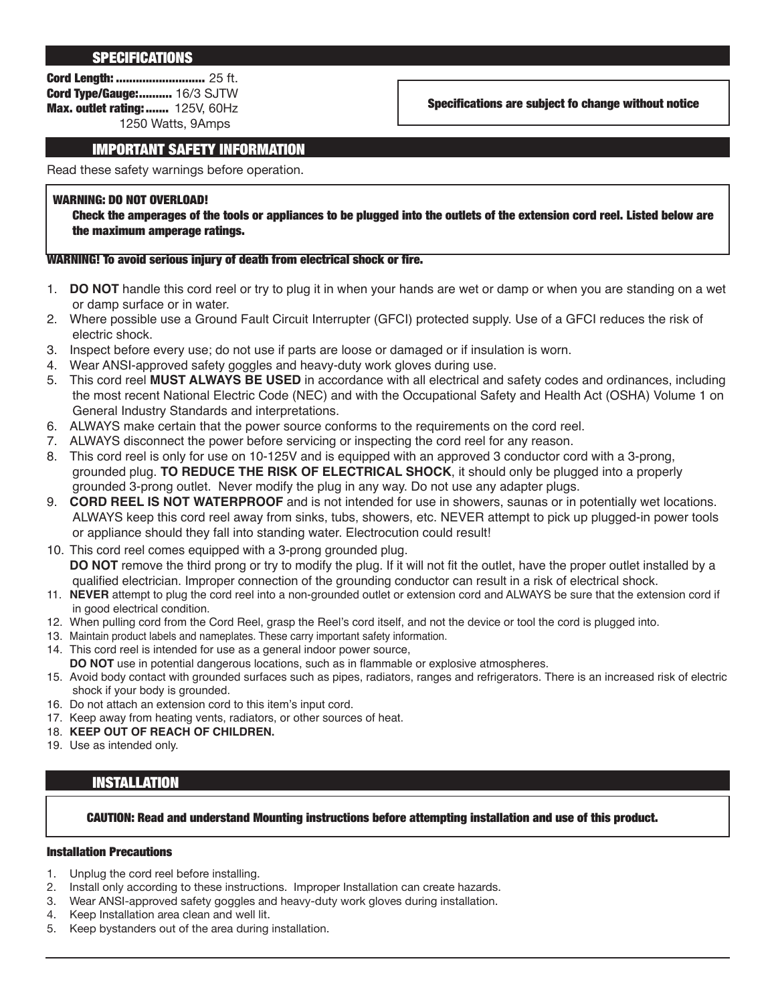#### **SPECIFICATIONS**

Cord Length: ........................... 25 ft. Cord Type/Gauge:.......... 16/3 SJTW Max. outlet rating: ....... 125V, 60Hz 1250 Watts, 9Amps

Specifications are subject fo change without notice

### IMPORTANT SAFETY INFORMATION

Read these safety warnings before operation.

#### WARNING: DO NOT OVERLOAD!

Check the amperages of the tools or appliances to be plugged into the outlets of the extension cord reel. Listed below are the maximum amperage ratings.

#### WARNING! To avoid serious injury of death from electrical shock or fire.

- 1. **DO NOT** handle this cord reel or try to plug it in when your hands are wet or damp or when you are standing on a wet or damp surface or in water.
- 2. Where possible use a Ground Fault Circuit Interrupter (GFCI) protected supply. Use of a GFCI reduces the risk of electric shock.
- 3. Inspect before every use; do not use if parts are loose or damaged or if insulation is worn.
- 4. Wear ANSI-approved safety goggles and heavy-duty work gloves during use.
- 5. This cord reel **MUST ALWAYS BE USED** in accordance with all electrical and safety codes and ordinances, including the most recent National Electric Code (NEC) and with the Occupational Safety and Health Act (OSHA) Volume 1 on General Industry Standards and interpretations.
- 6. ALWAYS make certain that the power source conforms to the requirements on the cord reel.
- 7. ALWAYS disconnect the power before servicing or inspecting the cord reel for any reason.
- 8. This cord reel is only for use on 10-125V and is equipped with an approved 3 conductor cord with a 3-prong, grounded plug. **TO REDUCE THE RISK OF ELECTRICAL SHOCK**, it should only be plugged into a properly grounded 3-prong outlet. Never modify the plug in any way. Do not use any adapter plugs.
- 9. **CORD REEL IS NOT WATERPROOF** and is not intended for use in showers, saunas or in potentially wet locations. ALWAYS keep this cord reel away from sinks, tubs, showers, etc. NEVER attempt to pick up plugged-in power tools or appliance should they fall into standing water. Electrocution could result!
- 10. This cord reel comes equipped with a 3-prong grounded plug. **DO NOT** remove the third prong or try to modify the plug. If it will not fit the outlet, have the proper outlet installed by a qualified electrician. Improper connection of the grounding conductor can result in a risk of electrical shock.
- 11. **NEVER** attempt to plug the cord reel into a non-grounded outlet or extension cord and ALWAYS be sure that the extension cord if in good electrical condition.
- 12. When pulling cord from the Cord Reel, grasp the Reel's cord itself, and not the device or tool the cord is plugged into.
- 13. Maintain product labels and nameplates. These carry important safety information.
- 14. This cord reel is intended for use as a general indoor power source, **DO NOT** use in potential dangerous locations, such as in flammable or explosive atmospheres.
- 15. Avoid body contact with grounded surfaces such as pipes, radiators, ranges and refrigerators. There is an increased risk of electric shock if your body is grounded.
- 16. Do not attach an extension cord to this item's input cord.
- 17. Keep away from heating vents, radiators, or other sources of heat.
- 18. **KEEP OUT OF REACH OF CHILDREN.**
- 19. Use as intended only.

#### INSTALLATION

#### CAUTION: Read and understand Mounting instructions before attempting installation and use of this product.

#### Installation Precautions

- 1. Unplug the cord reel before installing.
- 2. Install only according to these instructions. Improper Installation can create hazards.
- 3. Wear ANSI-approved safety goggles and heavy-duty work gloves during installation.
- 4. Keep Installation area clean and well lit.
- 5. Keep bystanders out of the area during installation.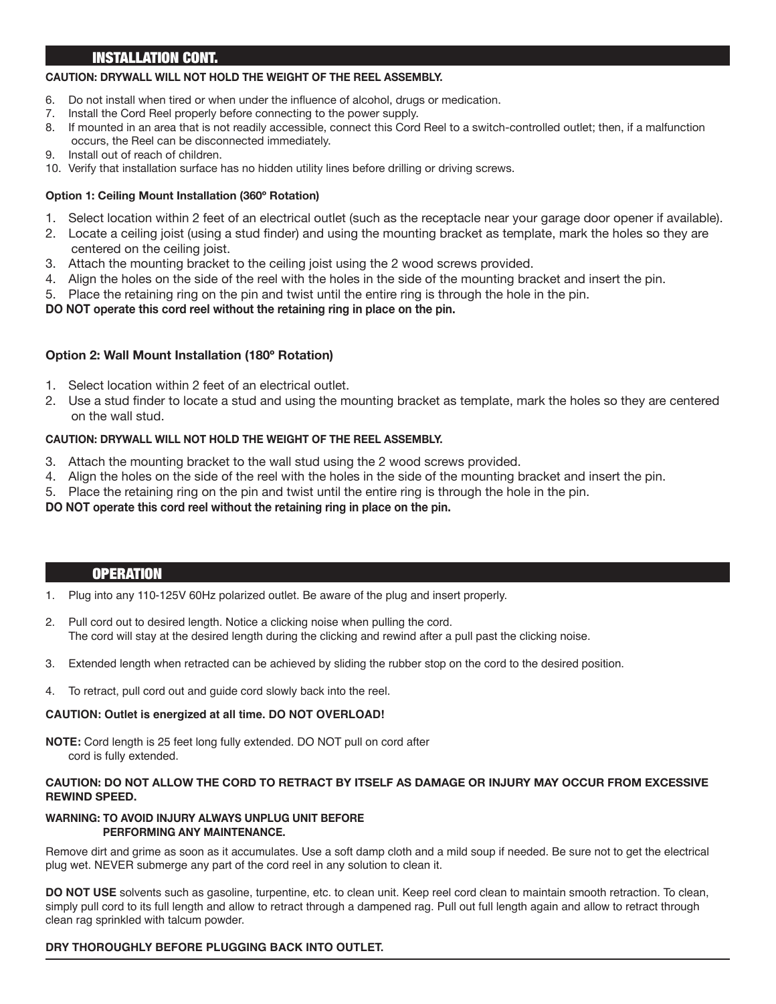## INSTALLATION CONT.

#### **CAUTION: DRYWALL WILL NOT HOLD THE WEIGHT OF THE REEL ASSEMBLY.**

- 6. Do not install when tired or when under the influence of alcohol, drugs or medication.
- 7. Install the Cord Reel properly before connecting to the power supply.
- 8. If mounted in an area that is not readily accessible, connect this Cord Reel to a switch-controlled outlet; then, if a malfunction occurs, the Reel can be disconnected immediately.
- 9. Install out of reach of children.
- 10. Verify that installation surface has no hidden utility lines before drilling or driving screws.

## **Option 1: Ceiling Mount Installation (360º Rotation)**

- 1. Select location within 2 feet of an electrical outlet (such as the receptacle near your garage door opener if available).
- 2. Locate a ceiling joist (using a stud finder) and using the mounting bracket as template, mark the holes so they are centered on the ceiling joist.
- 3. Attach the mounting bracket to the ceiling joist using the 2 wood screws provided.
- 4. Align the holes on the side of the reel with the holes in the side of the mounting bracket and insert the pin.
- 5. Place the retaining ring on the pin and twist until the entire ring is through the hole in the pin.

## **DO NOT operate this cord reel without the retaining ring in place on the pin.**

## **Option 2: Wall Mount Installation (180º Rotation)**

- 1. Select location within 2 feet of an electrical outlet.
- 2. Use a stud finder to locate a stud and using the mounting bracket as template, mark the holes so they are centered on the wall stud.

## **CAUTION: DRYWALL WILL NOT HOLD THE WEIGHT OF THE REEL ASSEMBLY.**

- 3. Attach the mounting bracket to the wall stud using the 2 wood screws provided.
- 4. Align the holes on the side of the reel with the holes in the side of the mounting bracket and insert the pin.
- 5. Place the retaining ring on the pin and twist until the entire ring is through the hole in the pin.

#### **DO NOT operate this cord reel without the retaining ring in place on the pin.**

#### **OPERATION**

- 1. Plug into any 110-125V 60Hz polarized outlet. Be aware of the plug and insert properly.
- 2. Pull cord out to desired length. Notice a clicking noise when pulling the cord. The cord will stay at the desired length during the clicking and rewind after a pull past the clicking noise.
- 3. Extended length when retracted can be achieved by sliding the rubber stop on the cord to the desired position.
- 4. To retract, pull cord out and guide cord slowly back into the reel.

## **CAUTION: Outlet is energized at all time. DO NOT OVERLOAD!**

**NOTE:** Cord length is 25 feet long fully extended. DO NOT pull on cord after cord is fully extended.

#### **CAUTION: DO NOT ALLOW THE CORD TO RETRACT BY ITSELF AS DAMAGE OR INJURY MAY OCCUR FROM EXCESSIVE REWIND SPEED.**

#### **WARNING: TO AVOID INJURY ALWAYS UNPLUG UNIT BEFORE PERFORMING ANY MAINTENANCE.**

Remove dirt and grime as soon as it accumulates. Use a soft damp cloth and a mild soup if needed. Be sure not to get the electrical plug wet. NEVER submerge any part of the cord reel in any solution to clean it.

**DO NOT USE** solvents such as gasoline, turpentine, etc. to clean unit. Keep reel cord clean to maintain smooth retraction. To clean, simply pull cord to its full length and allow to retract through a dampened rag. Pull out full length again and allow to retract through clean rag sprinkled with talcum powder.

## **DRY THOROUGHLY BEFORE PLUGGING BACK INTO OUTLET.**